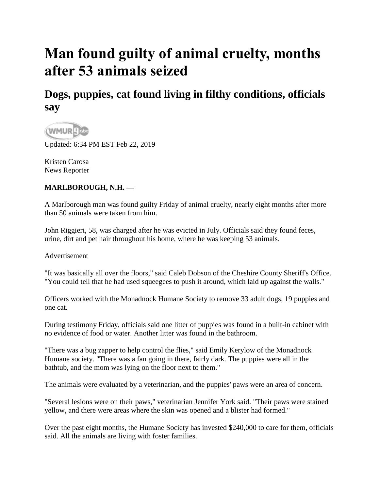## **Man found guilty of animal cruelty, months after 53 animals seized**

## **Dogs, puppies, cat found living in filthy conditions, officials say**



Updated: 6:34 PM EST Feb 22, 2019

[Kristen Carosa](https://www.wmur.com/news-team/df263a22-0da8-45fe-ba4b-0a7f812c89c7)  [News Reporter](https://www.wmur.com/news-team/df263a22-0da8-45fe-ba4b-0a7f812c89c7) 

## **MARLBOROUGH, N.H. —**

A Marlborough man was found guilty Friday of animal cruelty, nearly eight months after more than 50 animals were taken from him.

John Riggieri, 58, was charged after he was evicted in July. Officials said they found feces, urine, dirt and pet hair throughout his home, where he was keeping 53 animals.

Advertisement

"It was basically all over the floors," said Caleb Dobson of the Cheshire County Sheriff's Office. "You could tell that he had used squeegees to push it around, which laid up against the walls."

Officers worked with the Monadnock Humane Society to remove 33 adult dogs, 19 puppies and one cat.

During testimony Friday, officials said one litter of puppies was found in a built-in cabinet with no evidence of food or water. Another litter was found in the bathroom.

"There was a bug zapper to help control the flies," said Emily Kerylow of the Monadnock Humane society. "There was a fan going in there, fairly dark. The puppies were all in the bathtub, and the mom was lying on the floor next to them."

The animals were evaluated by a veterinarian, and the puppies' paws were an area of concern.

"Several lesions were on their paws," veterinarian Jennifer York said. "Their paws were stained yellow, and there were areas where the skin was opened and a blister had formed."

Over the past eight months, the Humane Society has invested \$240,000 to care for them, officials said. All the animals are living with foster families.